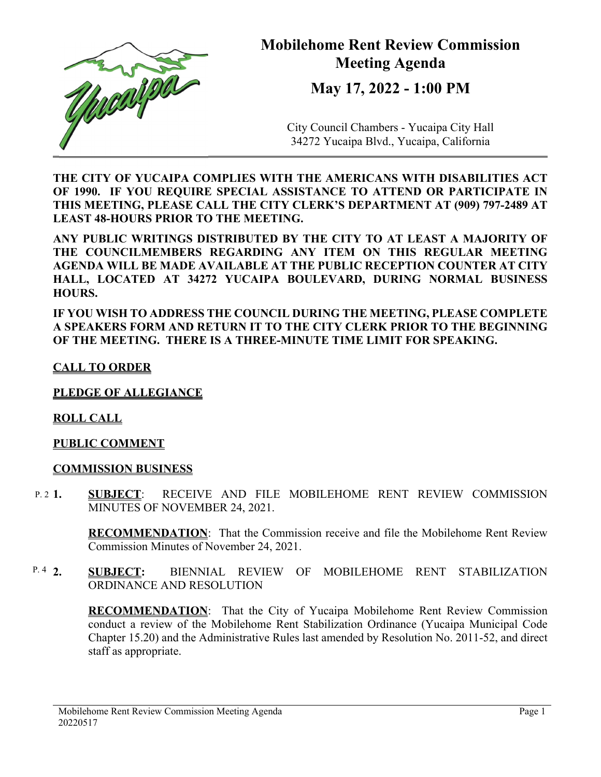

## **Mobilehome Rent Review Commission Meeting Agenda**

**May 17, 2022 - 1:00 PM** 

City Council Chambers - Yucaipa City Hall 34272 Yucaipa Blvd., Yucaipa, California

**THE CITY OF YUCAIPA COMPLIES WITH THE AMERICANS WITH DISABILITIES ACT OF 1990. IF YOU REQUIRE SPECIAL ASSISTANCE TO ATTEND OR PARTICIPATE IN THIS MEETING, PLEASE CALL THE CITY CLERK'S DEPARTMENT AT (909) 797-2489 AT LEAST 48-HOURS PRIOR TO THE MEETING.** 

**ANY PUBLIC WRITINGS DISTRIBUTED BY THE CITY TO AT LEAST A MAJORITY OF THE COUNCILMEMBERS REGARDING ANY ITEM ON THIS REGULAR MEETING AGENDA WILL BE MADE AVAILABLE AT THE PUBLIC RECEPTION COUNTER AT CITY HALL, LOCATED AT 34272 YUCAIPA BOULEVARD, DURING NORMAL BUSINESS HOURS.** 

**IF YOU WISH TO ADDRESS THE COUNCIL DURING THE MEETING, PLEASE COMPLETE A SPEAKERS FORM AND RETURN IT TO THE CITY CLERK PRIOR TO THE BEGINNING OF THE MEETING. THERE IS A THREE-MINUTE TIME LIMIT FOR SPEAKING.** 

## **CALL TO ORDER**

**PLEDGE OF ALLEGIANCE** 

**ROLL CALL** 

## **PUBLIC COMMENT**

## **COMMISSION BUSINESS**

**1. SUBJECT**: RECEIVE AND FILE MOBILEHOME RENT REVIEW COMMISSION MINUTES OF NOVEMBER 24, 2021.  $P. 21$ .

> **RECOMMENDATION**:That the Commission receive and file the Mobilehome Rent Review Commission Minutes of November 24, 2021.

**2. SUBJECT:** BIENNIAL REVIEW OF MOBILEHOME RENT STABILIZATION ORDINANCE AND RESOLUTION P.  $4\,2$ .

> **RECOMMENDATION**:That the City of Yucaipa Mobilehome Rent Review Commission conduct a review of the Mobilehome Rent Stabilization Ordinance (Yucaipa Municipal Code Chapter 15.20) and the Administrative Rules last amended by Resolution No. 2011-52, and direct staff as appropriate.